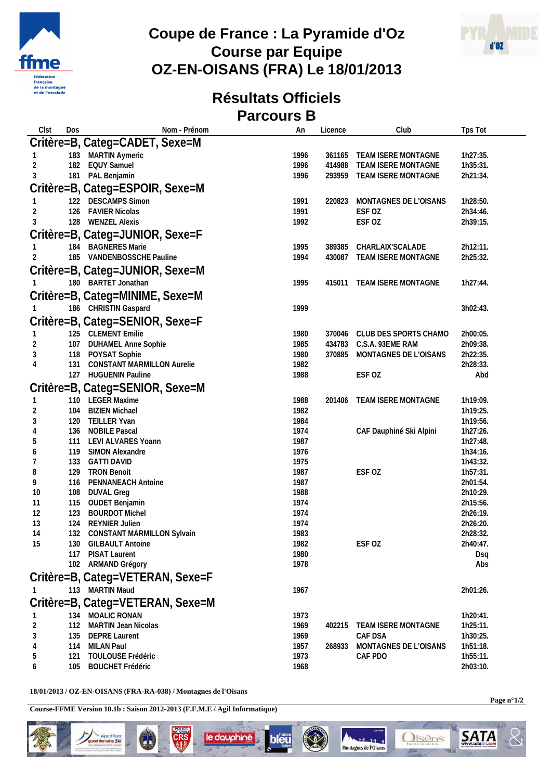

## **Coupe de France : La Pyramide d'Oz Course par Equipe OZ-EN-OISANS (FRA) Le 18/01/2013**



## **Résultats Officiels Parcours B**

| Clst     | Dos | Nom - Prénom                                       | An           | Licence | Club                       | Tps Tot              |
|----------|-----|----------------------------------------------------|--------------|---------|----------------------------|----------------------|
|          |     | Critère=B, Categ=CADET, Sexe=M                     |              |         |                            |                      |
|          |     | 183 MARTIN Aymeric                                 | 1996         |         | 361165 TEAM ISERE MONTAGNE | 1h27:35.             |
| 2        | 182 | <b>EQUY Samuel</b>                                 | 1996         | 414988  | TEAM ISERE MONTAGNE        | 1h35:31.             |
| 3        | 181 | PAL Benjamin                                       | 1996         |         | 293959 TEAM ISERE MONTAGNE | 2h21:34.             |
|          |     | Critère=B, Categ=ESPOIR, Sexe=M                    |              |         |                            |                      |
|          |     |                                                    |              |         |                            |                      |
|          |     | 122 DESCAMPS Simon                                 | 1991         | 220823  | MONTAGNES DE L'OISANS      | 1h28:50.             |
| 2        |     | 126 FAVIER Nicolas                                 | 1991         |         | ESF OZ                     | 2h34:46.             |
| 3        |     | 128 WENZEL Alexis                                  | 1992         |         | ESF OZ                     | 2h39:15.             |
|          |     | Critère=B, Categ=JUNIOR, Sexe=F                    |              |         |                            |                      |
|          | 184 | <b>BAGNERES Marie</b>                              | 1995         | 389385  | CHARLAIX'SCALADE           | 2h12:11.             |
|          |     | 185 VANDENBOSSCHE Pauline                          | 1994         | 430087  | TEAM ISERE MONTAGNE        | 2h25:32.             |
|          |     | Critère=B, Categ=JUNIOR, Sexe=M                    |              |         |                            |                      |
|          |     | 180 BARTET Jonathan                                | 1995         | 415011  | TEAM ISERE MONTAGNE        | 1h27:44.             |
|          |     | Critère=B, Categ=MINIME, Sexe=M                    |              |         |                            |                      |
|          |     |                                                    |              |         |                            |                      |
|          |     | 186 CHRISTIN Gaspard                               | 1999         |         |                            | 3h02:43.             |
|          |     | Critère=B, Categ=SENIOR, Sexe=F                    |              |         |                            |                      |
|          |     | 125 CLEMENT Emilie                                 | 1980         | 370046  | CLUB DES SPORTS CHAMO      | 2h00:05.             |
| 2        |     | 107 DUHAMEL Anne Sophie                            | 1985         | 434783  | C.S.A. 93EME RAM           | 2h09:38.             |
| 3        |     | 118 POYSAT Sophie                                  | 1980         | 370885  | MONTAGNES DE L'OISANS      | 2h22:35.             |
| 4        | 131 | <b>CONSTANT MARMILLON Aurelie</b>                  | 1982         |         |                            | 2h28:33.             |
|          |     | 127 HUGUENIN Pauline                               | 1988         |         | ESF OZ                     | Abd                  |
|          |     | Critère=B, Categ=SENIOR, Sexe=M                    |              |         |                            |                      |
|          |     | 110 LEGER Maxime                                   | 1988         | 201406  | TEAM ISERE MONTAGNE        | 1h19:09.             |
| 2        | 104 | <b>BIZIEN Michael</b>                              | 1982         |         |                            | 1h19:25.             |
| 3        | 120 | TEILLER Yvan                                       | 1984         |         |                            | 1h19:56.             |
| 4        | 136 | <b>NOBILE Pascal</b>                               | 1974         |         | CAF Dauphiné Ski Alpini    | 1h27:26.             |
| 5        | 111 | LEVI ALVARES Yoann                                 | 1987         |         |                            | 1h27:48.             |
| 6        | 119 | SIMON Alexandre                                    | 1976         |         |                            | 1h34:16.             |
| 7        | 133 | <b>GATTI DAVID</b>                                 | 1975         |         |                            | 1h43:32.             |
| 8        | 129 | <b>TRON Benoit</b>                                 | 1987         |         | ESF OZ                     | 1h57:31.             |
| 9        | 116 | PENNANEACH Antoine                                 | 1987         |         |                            | 2h01:54.             |
| 10       | 108 | <b>DUVAL Greg</b>                                  | 1988         |         |                            | 2h10:29.             |
| 11       | 115 | OUDET Benjamin                                     | 1974         |         |                            | 2h15:56.             |
| 12       | 123 | <b>BOURDOT Michel</b>                              | 1974         |         |                            | 2h26:19.             |
| 13       | 124 | <b>REYNIER Julien</b>                              | 1974         |         |                            | 2h26:20.             |
| 14<br>15 | 132 | CONSTANT MARMILLON Sylvain<br>130 GILBAULT Antoine | 1983<br>1982 |         | ESF OZ                     | 2h28:32.<br>2h40:47. |
|          | 117 | PISAT Laurent                                      | 1980         |         |                            | Dsq                  |
|          |     | 102 ARMAND Grégory                                 | 1978         |         |                            | Abs                  |
|          |     |                                                    |              |         |                            |                      |
|          |     | Critère=B, Categ=VETERAN, Sexe=F                   |              |         |                            |                      |
|          |     | 113 MARTIN Maud                                    | 1967         |         |                            | 2h01:26.             |
|          |     | Critère=B, Categ=VETERAN, Sexe=M                   |              |         |                            |                      |
|          | 134 | MOALIC RONAN                                       | 1973         |         |                            | 1h20:41.             |
| 2        | 112 | MARTIN Jean Nicolas                                | 1969         | 402215  | <b>TEAM ISERE MONTAGNE</b> | 1h25:11.             |
| 3        |     | 135 DEPRE Laurent                                  | 1969         |         | CAF DSA                    | 1h30:25.             |
| 4        |     | 114 MILAN Paul                                     | 1957         | 268933  | MONTAGNES DE L'OISANS      | 1h51:18.             |
| 5        | 121 | TOULOUSE Frédéric                                  | 1973         |         | CAF PDO                    | 1h55:11.             |
| 6        | 105 | <b>BOUCHET Frédéric</b>                            | 1968         |         |                            | 2h03:10.             |

**18/01/2013 / OZ-EN-OISANS (FRA-RA-038) / Montagnes de l'Oisans**

**Spe d'Huez<br>Innaine** *Ski*<br>Innovas su voyes

**Course-FFME Version 10.1b : Saison 2012-2013 (F.F.M.E / Agil Informatique)**

**Page n°1/2**